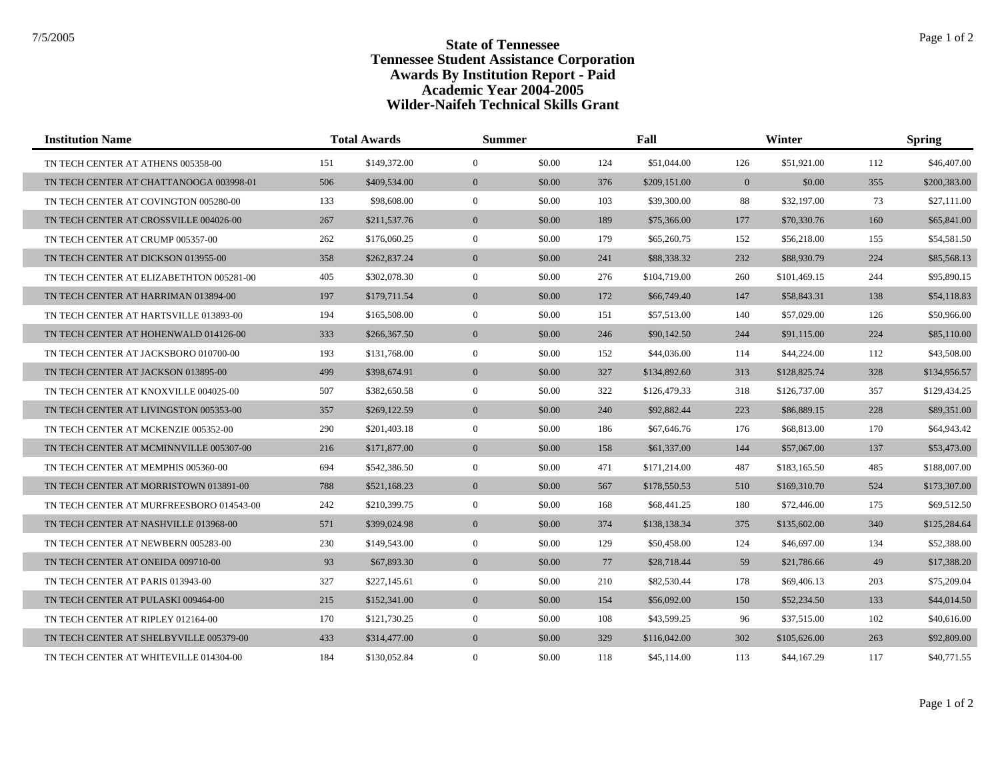| <b>Institution Name</b>                  |     | <b>Total Awards</b> |                | <b>Summer</b> |     | Fall         |                | Winter       |     | <b>Spring</b> |  |
|------------------------------------------|-----|---------------------|----------------|---------------|-----|--------------|----------------|--------------|-----|---------------|--|
| TN TECH CENTER AT ATHENS 005358-00       | 151 | \$149,372.00        | $\mathbf{0}$   | \$0.00        | 124 | \$51,044.00  | 126            | \$51,921.00  | 112 | \$46,407.00   |  |
| TN TECH CENTER AT CHATTANOOGA 003998-01  | 506 | \$409,534.00        | $\mathbf{0}$   | \$0.00        | 376 | \$209,151.00 | $\overline{0}$ | \$0.00       | 355 | \$200,383.00  |  |
| TN TECH CENTER AT COVINGTON 005280-00    | 133 | \$98,608.00         | $\overline{0}$ | \$0.00        | 103 | \$39,300.00  | 88             | \$32,197.00  | 73  | \$27,111.00   |  |
| TN TECH CENTER AT CROSSVILLE 004026-00   | 267 | \$211,537.76        | $\mathbf{0}$   | \$0.00        | 189 | \$75,366.00  | 177            | \$70,330.76  | 160 | \$65,841.00   |  |
| TN TECH CENTER AT CRUMP 005357-00        | 262 | \$176,060.25        | $\overline{0}$ | \$0.00        | 179 | \$65,260.75  | 152            | \$56,218.00  | 155 | \$54,581.50   |  |
| TN TECH CENTER AT DICKSON 013955-00      | 358 | \$262,837.24        | $\overline{0}$ | \$0.00        | 241 | \$88,338.32  | 232            | \$88,930.79  | 224 | \$85,568.13   |  |
| TN TECH CENTER AT ELIZABETHTON 005281-00 | 405 | \$302,078.30        | $\overline{0}$ | \$0.00        | 276 | \$104,719.00 | 260            | \$101,469.15 | 244 | \$95,890.15   |  |
| TN TECH CENTER AT HARRIMAN 013894-00     | 197 | \$179,711.54        | $\overline{0}$ | \$0.00        | 172 | \$66,749.40  | 147            | \$58,843.31  | 138 | \$54,118.83   |  |
| TN TECH CENTER AT HARTSVILLE 013893-00   | 194 | \$165,508.00        | $\overline{0}$ | \$0.00        | 151 | \$57,513.00  | 140            | \$57,029.00  | 126 | \$50,966.00   |  |
| TN TECH CENTER AT HOHENWALD 014126-00    | 333 | \$266,367.50        | $\overline{0}$ | \$0.00        | 246 | \$90,142.50  | 244            | \$91,115.00  | 224 | \$85,110.00   |  |
| TN TECH CENTER AT JACKSBORO 010700-00    | 193 | \$131,768.00        | $\overline{0}$ | \$0.00        | 152 | \$44,036.00  | 114            | \$44,224.00  | 112 | \$43,508.00   |  |
| TN TECH CENTER AT JACKSON 013895-00      | 499 | \$398,674.91        | $\overline{0}$ | \$0.00        | 327 | \$134,892.60 | 313            | \$128,825.74 | 328 | \$134,956.57  |  |
| TN TECH CENTER AT KNOXVILLE 004025-00    | 507 | \$382,650.58        | $\overline{0}$ | \$0.00        | 322 | \$126,479.33 | 318            | \$126,737.00 | 357 | \$129,434.25  |  |
| TN TECH CENTER AT LIVINGSTON 005353-00   | 357 | \$269,122.59        | $\overline{0}$ | \$0.00        | 240 | \$92,882.44  | 223            | \$86,889.15  | 228 | \$89,351.00   |  |
| TN TECH CENTER AT MCKENZIE 005352-00     | 290 | \$201,403.18        | $\mathbf{0}$   | \$0.00        | 186 | \$67,646.76  | 176            | \$68,813.00  | 170 | \$64,943.42   |  |
| TN TECH CENTER AT MCMINNVILLE 005307-00  | 216 | \$171,877.00        | $\overline{0}$ | \$0.00        | 158 | \$61,337.00  | 144            | \$57,067.00  | 137 | \$53,473.00   |  |
| TN TECH CENTER AT MEMPHIS 005360-00      | 694 | \$542,386.50        | $\overline{0}$ | \$0.00        | 471 | \$171,214.00 | 487            | \$183,165.50 | 485 | \$188,007.00  |  |
| TN TECH CENTER AT MORRISTOWN 013891-00   | 788 | \$521,168.23        | $\overline{0}$ | \$0.00        | 567 | \$178,550.53 | 510            | \$169,310.70 | 524 | \$173,307.00  |  |
| TN TECH CENTER AT MURFREESBORO 014543-00 | 242 | \$210,399.75        | $\overline{0}$ | \$0.00        | 168 | \$68,441.25  | 180            | \$72,446.00  | 175 | \$69,512.50   |  |
| TN TECH CENTER AT NASHVILLE 013968-00    | 571 | \$399,024.98        | $\mathbf{0}$   | \$0.00        | 374 | \$138,138.34 | 375            | \$135,602.00 | 340 | \$125,284.64  |  |
| TN TECH CENTER AT NEWBERN 005283-00      | 230 | \$149,543.00        | $\mathbf{0}$   | \$0.00        | 129 | \$50,458.00  | 124            | \$46,697.00  | 134 | \$52,388.00   |  |
| TN TECH CENTER AT ONEIDA 009710-00       | 93  | \$67,893.30         | $\mathbf{0}$   | \$0.00        | 77  | \$28,718.44  | 59             | \$21,786.66  | 49  | \$17,388.20   |  |
| TN TECH CENTER AT PARIS 013943-00        | 327 | \$227,145.61        | $\overline{0}$ | \$0.00        | 210 | \$82,530.44  | 178            | \$69,406.13  | 203 | \$75,209.04   |  |
| TN TECH CENTER AT PULASKI 009464-00      | 215 | \$152,341.00        | $\mathbf{0}$   | \$0.00        | 154 | \$56,092.00  | 150            | \$52,234.50  | 133 | \$44,014.50   |  |
| TN TECH CENTER AT RIPLEY 012164-00       | 170 | \$121,730.25        | $\mathbf{0}$   | \$0.00        | 108 | \$43,599.25  | 96             | \$37,515.00  | 102 | \$40,616.00   |  |
| TN TECH CENTER AT SHELBYVILLE 005379-00  | 433 | \$314,477.00        | $\overline{0}$ | \$0.00        | 329 | \$116,042.00 | 302            | \$105,626.00 | 263 | \$92,809.00   |  |
| TN TECH CENTER AT WHITEVILLE 014304-00   | 184 | \$130,052.84        | $\mathbf{0}$   | \$0.00        | 118 | \$45,114.00  | 113            | \$44,167.29  | 117 | \$40,771.55   |  |